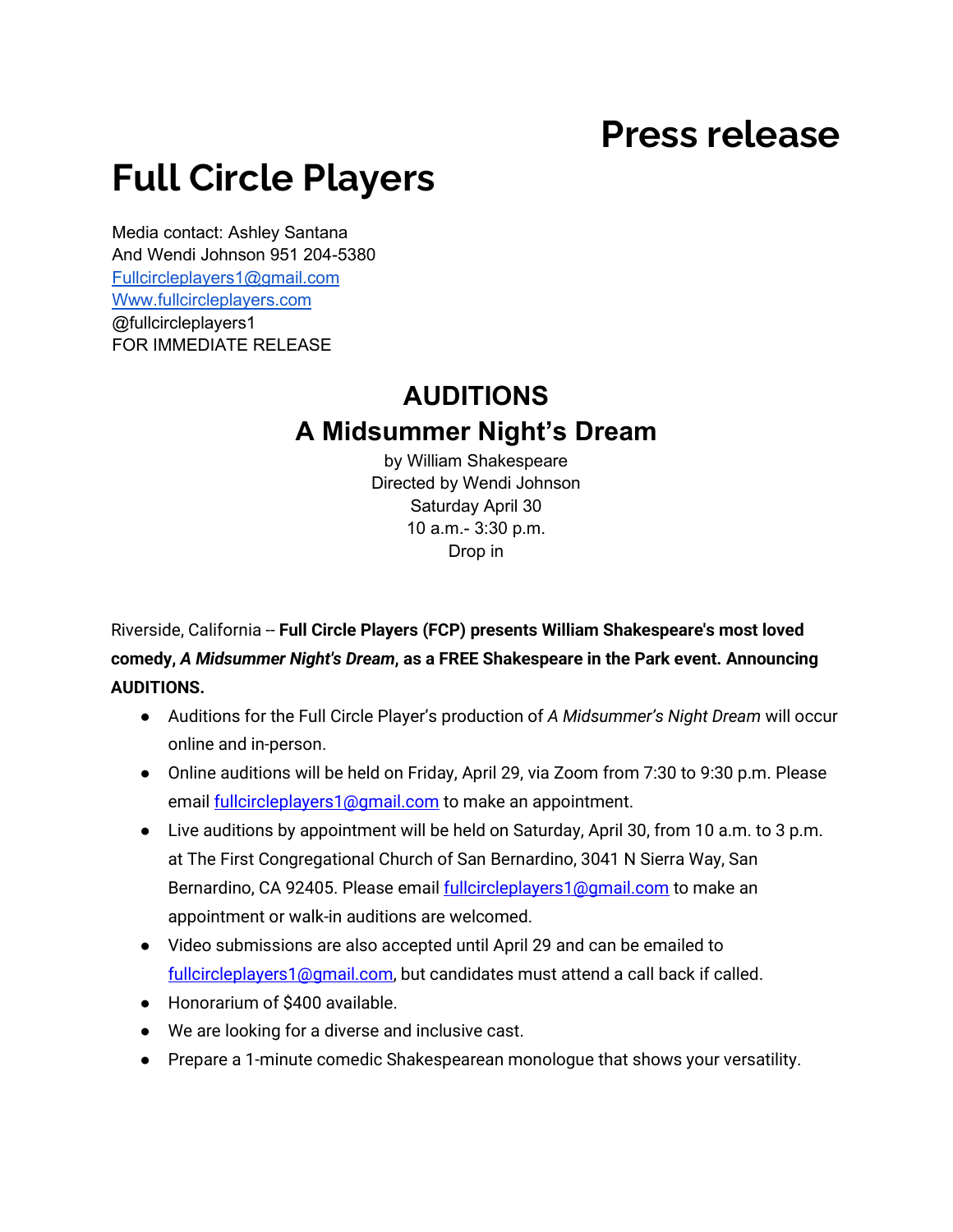## **Press release**

## **Full Circle Players**

Media contact: Ashley Santana And Wendi Johnson 951 204-5380 [Fullcircleplayers1@gmail.com](mailto:Fullcircleplayers1@gmail.com) [Www.fullcircleplayers.com](http://www.fullcircleplayers.com/) @fullcircleplayers1 FOR IMMEDIATE RELEASE

## **AUDITIONS A Midsummer Night's Dream**

by William Shakespeare Directed by Wendi Johnson Saturday April 30 10 a.m.- 3:30 p.m. Drop in

Riverside, California -- **Full Circle Players (FCP) presents William Shakespeare's most loved comedy,** *A Midsummer Night's Dream***, as a FREE Shakespeare in the Park event. Announcing AUDITIONS.** 

- Auditions for the Full Circle Player's production of *A Midsummer's Night Dream* will occur online and in-person.
- Online auditions will be held on Friday, April 29, via Zoom from 7:30 to 9:30 p.m. Please email **fullcircleplayers1@gmail.com** to make an appointment.
- Live auditions by appointment will be held on Saturday, April 30, from 10 a.m. to 3 p.m. at The First Congregational Church of San Bernardino, 3041 N Sierra Way, San Bernardino, CA 92405. Please email **fullcircleplayers1@gmail.com** to make an appointment or walk-in auditions are welcomed.
- Video submissions are also accepted until April 29 and can be emailed to [fullcircleplayers1@gmail.com,](mailto:fullcircleplayers1@gmail.com) but candidates must attend a call back if called.
- Honorarium of \$400 available.
- We are looking for a diverse and inclusive cast.
- Prepare a 1-minute comedic Shakespearean monologue that shows your versatility.